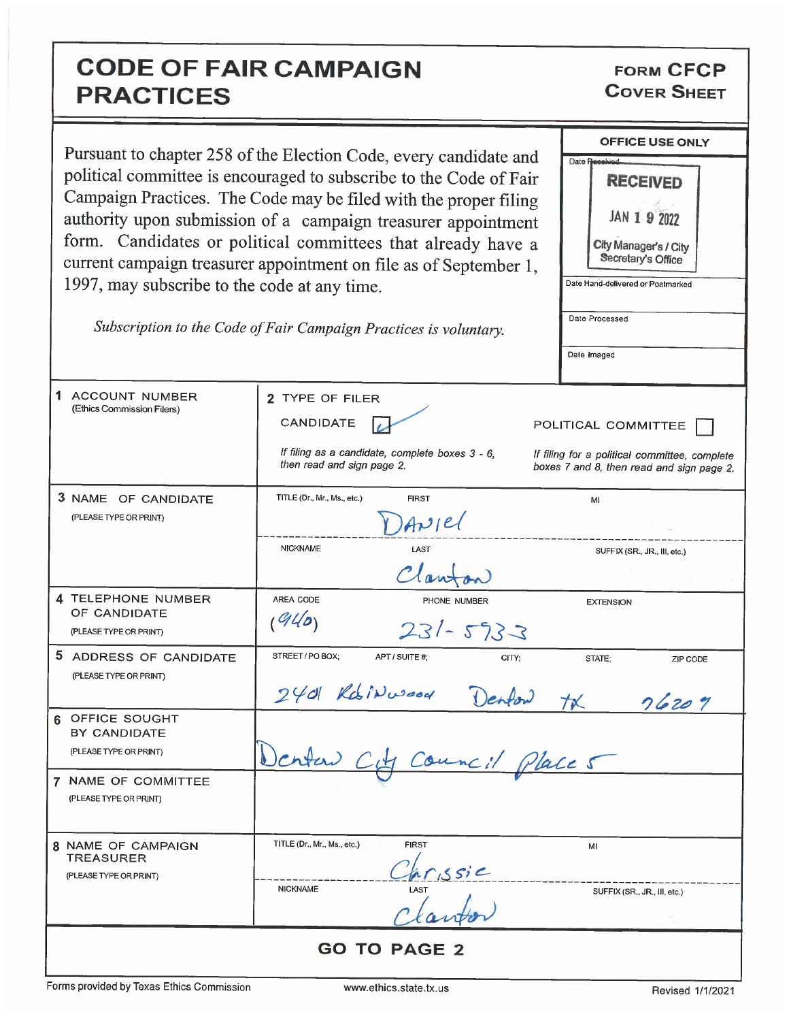## **CODE OF FAIR CAMPAIGN PRACTICES**

**FORM CFCP COVER SHEET** 

|                                                                    | Pursuant to chapter 258 of the Election Code, every candidate and             | OFFICE USE ONLY                                                                            |
|--------------------------------------------------------------------|-------------------------------------------------------------------------------|--------------------------------------------------------------------------------------------|
| political committee is encouraged to subscribe to the Code of Fair |                                                                               | Date Received<br><b>RECEIVED</b>                                                           |
|                                                                    | Campaign Practices. The Code may be filed with the proper filing              |                                                                                            |
|                                                                    | authority upon submission of a campaign treasurer appointment                 | JAN 1 9 2022                                                                               |
|                                                                    | form. Candidates or political committees that already have a                  | City Manager's / City                                                                      |
|                                                                    | current campaign treasurer appointment on file as of September 1,             | Secretary's Office                                                                         |
| 1997, may subscribe to the code at any time.                       |                                                                               | Date Hand-delivered or Postmarked                                                          |
|                                                                    | Subscription to the Code of Fair Campaign Practices is voluntary.             | Date Processed                                                                             |
|                                                                    |                                                                               | Date Imaged                                                                                |
|                                                                    |                                                                               |                                                                                            |
| 1.<br>ACCOUNT NUMBER                                               | 2 TYPE OF FILER                                                               |                                                                                            |
| (Ethics Commission Filers)                                         | CANDIDATE                                                                     | POLITICAL COMMITTEE                                                                        |
|                                                                    | If filing as a candidate, complete boxes 3 - 6.<br>then read and sign page 2. | If filing for a political committee, complete<br>boxes 7 and 8, then read and sign page 2. |
| 3 NAME OF CANDIDATE                                                | TITLE (Dr., Mr., Ms., etc.)<br><b>FIRST</b>                                   | MI                                                                                         |
| (PLEASE TYPE OR PRINT)                                             | Arel                                                                          |                                                                                            |
|                                                                    | <b>NICKNAME</b><br>LAST                                                       | SUFFIX (SR., JR., III, etc.)                                                               |
|                                                                    | Clawfon                                                                       |                                                                                            |
| 4 TELEPHONE NUMBER<br>OF CANDIDATE                                 | AREA CODE<br>PHONE NUMBER                                                     | <b>EXTENSION</b>                                                                           |
| (PLEASE TYPE OR PRINT)                                             | 940<br>$231 - 5733$                                                           |                                                                                            |
| 5 ADDRESS OF CANDIDATE                                             | STREET / PO BOX:<br>APT / SUITE #;<br>CITY:                                   | STATE;<br>ZIP CODE                                                                         |
| (PLEASE TYPE OR PRINT)                                             | $240$ Kosinwood<br>Denford                                                    |                                                                                            |
| OFFICE SOUGHT                                                      |                                                                               | 76207<br>TK                                                                                |
| BY CANDIDATE                                                       |                                                                               |                                                                                            |
| (PLEASE TYPE OR PRINT)                                             | Council Places                                                                |                                                                                            |
| 7 NAME OF COMMITTEE<br>(PLEASE TYPE OR PRINT)                      |                                                                               |                                                                                            |
| 8 NAME OF CAMPAIGN                                                 | TITLE (Dr., Mr., Ms., etc.)<br><b>FIRST</b>                                   | MI                                                                                         |
| <b>TREASURER</b><br>(PLEASE TYPE OR PRINT)                         |                                                                               |                                                                                            |
|                                                                    | $rac{\sqrt{6}r_{15}s_{12}}{\sqrt{6}}$<br><b>NICKNAME</b>                      | SUFFIX (SR., JR., III, etc.)                                                               |
|                                                                    |                                                                               |                                                                                            |
| <b>GO TO PAGE 2</b>                                                |                                                                               |                                                                                            |